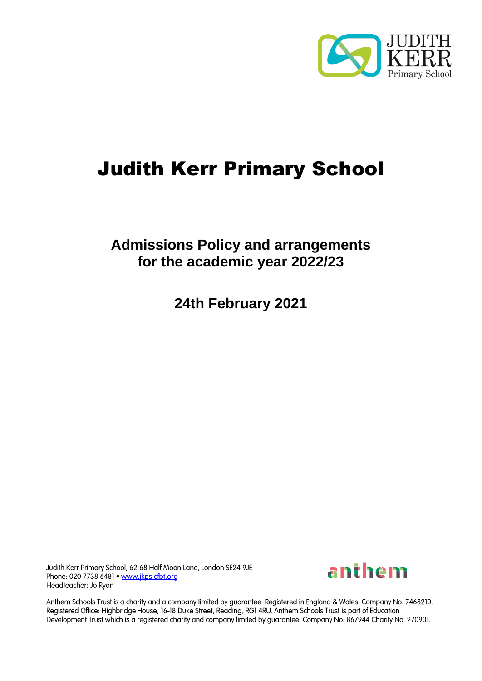

# Judith Kerr Primary School

# **Admissions Policy and arrangements for the academic year 2022/23**

**24th February 2021**

Judith Kerr Primary School, 62-68 Half Moon Lane, London SE24 9JE Phone: 020 7738 6481 . www.jkps-cfbt.org Headteacher: Jo Ryan



Anthem Schools Trust is a charity and a company limited by guarantee. Registered in England & Wales. Company No. 7468210. Registered Office: Highbridge House, 16-18 Duke Street, Reading, RG1 4RU. Anthem Schools Trust is part of Education Development Trust which is a registered charity and company limited by guarantee. Company No. 867944 Charity No. 270901.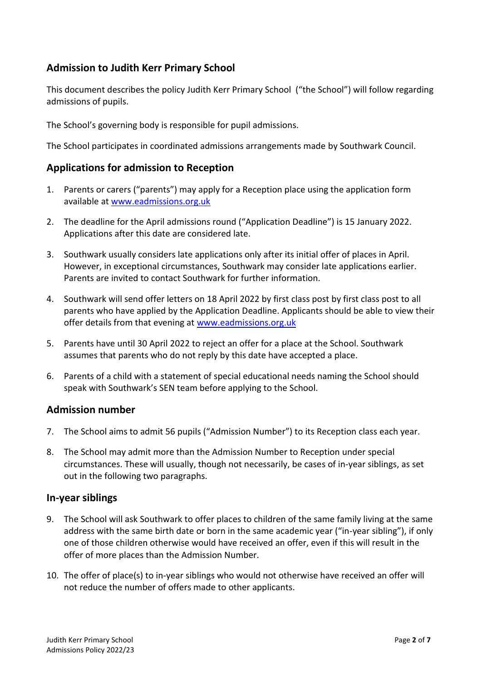## **Admission to Judith Kerr Primary School**

This document describes the policy Judith Kerr Primary School ("the School") will follow regarding admissions of pupils.

The School's governing body is responsible for pupil admissions.

The School participates in coordinated admissions arrangements made by Southwark Council.

#### **Applications for admission to Reception**

- 1. Parents or carers ("parents") may apply for a Reception place using the application form available at [www.eadmissions.org.uk](http://www.eadmissions.org.uk/)
- 2. The deadline for the April admissions round ("Application Deadline") is 15 January 2022. Applications after this date are considered late.
- 3. Southwark usually considers late applications only after its initial offer of places in April. However, in exceptional circumstances, Southwark may consider late applications earlier. Parents are invited to contact Southwark for further information.
- 4. Southwark will send offer letters on 18 April 2022 by first class post by first class post to all parents who have applied by the Application Deadline. Applicants should be able to view their offer details from that evening at www.eadmissions.org.uk
- 5. Parents have until 30 April 2022 to reject an offer for a place at the School. Southwark assumes that parents who do not reply by this date have accepted a place.
- 6. Parents of a child with a statement of special educational needs naming the School should speak with Southwark's SEN team before applying to the School.

#### **Admission number**

- 7. The School aims to admit 56 pupils ("Admission Number") to its Reception class each year.
- 8. The School may admit more than the Admission Number to Reception under special circumstances. These will usually, though not necessarily, be cases of in-year siblings, as set out in the following two paragraphs.

#### **In-year siblings**

- 9. The School will ask Southwark to offer places to children of the same family living at the same address with the same birth date or born in the same academic year ("in-year sibling"), if only one of those children otherwise would have received an offer, even if this will result in the offer of more places than the Admission Number.
- 10. The offer of place(s) to in-year siblings who would not otherwise have received an offer will not reduce the number of offers made to other applicants.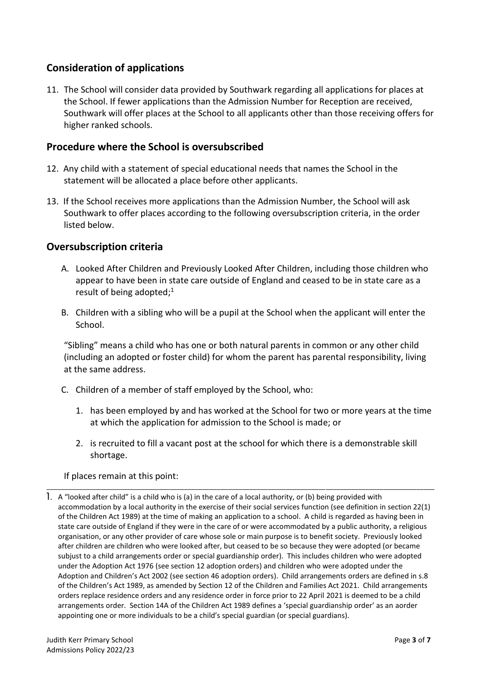# **Consideration of applications**

11. The School will consider data provided by Southwark regarding all applications for places at the School. If fewer applications than the Admission Number for Reception are received, Southwark will offer places at the School to all applicants other than those receiving offers for higher ranked schools.

#### **Procedure where the School is oversubscribed**

- 12. Any child with a statement of special educational needs that names the School in the statement will be allocated a place before other applicants.
- 13. If the School receives more applications than the Admission Number, the School will ask Southwark to offer places according to the following oversubscription criteria, in the order listed below.

#### **Oversubscription criteria**

- A. Looked After Children and Previously Looked After Children, including those children who appear to have been in state care outside of England and ceased to be in state care as a result of being adopted; 1
- B. Children with a sibling who will be a pupil at the School when the applicant will enter the School.

"Sibling" means a child who has one or both natural parents in common or any other child (including an adopted or foster child) for whom the parent has parental responsibility, living at the same address.

- C. Children of a member of staff employed by the School, who:
	- 1. has been employed by and has worked at the School for two or more years at the time at which the application for admission to the School is made; or
	- 2. is recruited to fill a vacant post at the school for which there is a demonstrable skill shortage.

\_\_\_\_\_\_\_\_\_\_\_\_\_\_\_\_\_\_\_\_\_\_\_\_\_\_\_\_\_\_\_\_\_\_\_\_\_\_\_\_\_\_\_\_\_\_\_\_\_\_\_\_\_\_\_\_\_\_\_\_\_\_\_\_\_\_\_\_\_\_\_\_\_\_\_\_\_\_\_\_\_\_\_\_\_\_\_\_\_\_\_\_\_\_\_\_\_\_\_\_\_\_\_\_\_\_\_

#### If places remain at this point:

A "looked after child" is a child who is (a) in the care of a local authority, or (b) being provided with accommodation by a local authority in the exercise of their social services function (see definition in section 22(1) of the Children Act 1989) at the time of making an application to a school. A child is regarded as having been in state care outside of England if they were in the care of or were accommodated by a public authority, a religious organisation, or any other provider of care whose sole or main purpose is to benefit society. Previously looked after children are children who were looked after, but ceased to be so because they were adopted (or became subjust to a child arrangements order or special guardianship order). This includes children who were adopted under the Adoption Act 1976 (see section 12 adoption orders) and children who were adopted under the Adoption and Children's Act 2002 (see section 46 adoption orders). Child arrangements orders are defined in s.8 of the Children's Act 1989, as amended by Section 12 of the Children and Families Act 2021. Child arrangements orders replace residence orders and any residence order in force prior to 22 April 2021 is deemed to be a child arrangements order. Section 14A of the Children Act 1989 defines a 'special guardianship order' as an aorder appointing one or more individuals to be a child's special guardian (or special guardians).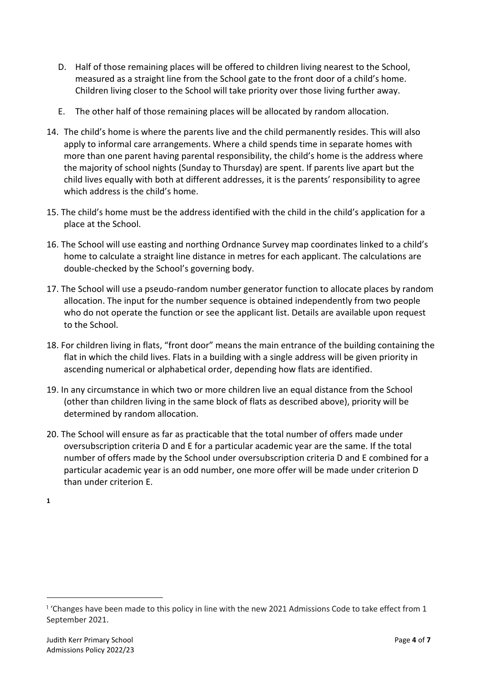- D. Half of those remaining places will be offered to children living nearest to the School, measured as a straight line from the School gate to the front door of a child's home. Children living closer to the School will take priority over those living further away.
- E. The other half of those remaining places will be allocated by random allocation.
- 14. The child's home is where the parents live and the child permanently resides. This will also apply to informal care arrangements. Where a child spends time in separate homes with more than one parent having parental responsibility, the child's home is the address where the majority of school nights (Sunday to Thursday) are spent. If parents live apart but the child lives equally with both at different addresses, it is the parents' responsibility to agree which address is the child's home.
- 15. The child's home must be the address identified with the child in the child's application for a place at the School.
- 16. The School will use easting and northing Ordnance Survey map coordinates linked to a child's home to calculate a straight line distance in metres for each applicant. The calculations are double-checked by the School's governing body.
- 17. The School will use a pseudo-random number generator function to allocate places by random allocation. The input for the number sequence is obtained independently from two people who do not operate the function or see the applicant list. Details are available upon request to the School.
- 18. For children living in flats, "front door" means the main entrance of the building containing the flat in which the child lives. Flats in a building with a single address will be given priority in ascending numerical or alphabetical order, depending how flats are identified.
- 19. In any circumstance in which two or more children live an equal distance from the School (other than children living in the same block of flats as described above), priority will be determined by random allocation.
- 20. The School will ensure as far as practicable that the total number of offers made under oversubscription criteria D and E for a particular academic year are the same. If the total number of offers made by the School under oversubscription criteria D and E combined for a particular academic year is an odd number, one more offer will be made under criterion D than under criterion E.

**1**

<sup>&</sup>lt;sup>1</sup> 'Changes have been made to this policy in line with the new 2021 Admissions Code to take effect from 1 September 2021.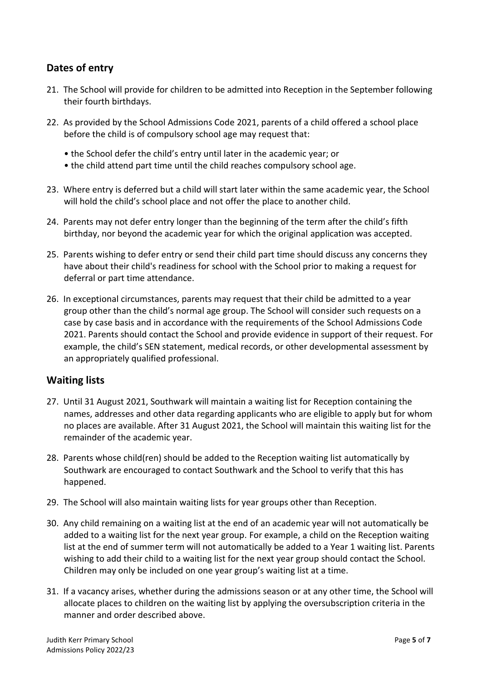## **Dates of entry**

- 21. The School will provide for children to be admitted into Reception in the September following their fourth birthdays.
- 22. As provided by the School Admissions Code 2021, parents of a child offered a school place before the child is of compulsory school age may request that:
	- the School defer the child's entry until later in the academic year; or
	- the child attend part time until the child reaches compulsory school age.
- 23. Where entry is deferred but a child will start later within the same academic year, the School will hold the child's school place and not offer the place to another child.
- 24. Parents may not defer entry longer than the beginning of the term after the child's fifth birthday, nor beyond the academic year for which the original application was accepted.
- 25. Parents wishing to defer entry or send their child part time should discuss any concerns they have about their child's readiness for school with the School prior to making a request for deferral or part time attendance.
- 26. In exceptional circumstances, parents may request that their child be admitted to a year group other than the child's normal age group. The School will consider such requests on a case by case basis and in accordance with the requirements of the School Admissions Code 2021. Parents should contact the School and provide evidence in support of their request. For example, the child's SEN statement, medical records, or other developmental assessment by an appropriately qualified professional.

#### **Waiting lists**

- 27. Until 31 August 2021, Southwark will maintain a waiting list for Reception containing the names, addresses and other data regarding applicants who are eligible to apply but for whom no places are available. After 31 August 2021, the School will maintain this waiting list for the remainder of the academic year.
- 28. Parents whose child(ren) should be added to the Reception waiting list automatically by Southwark are encouraged to contact Southwark and the School to verify that this has happened.
- 29. The School will also maintain waiting lists for year groups other than Reception.
- 30. Any child remaining on a waiting list at the end of an academic year will not automatically be added to a waiting list for the next year group. For example, a child on the Reception waiting list at the end of summer term will not automatically be added to a Year 1 waiting list. Parents wishing to add their child to a waiting list for the next year group should contact the School. Children may only be included on one year group's waiting list at a time.
- 31. If a vacancy arises, whether during the admissions season or at any other time, the School will allocate places to children on the waiting list by applying the oversubscription criteria in the manner and order described above.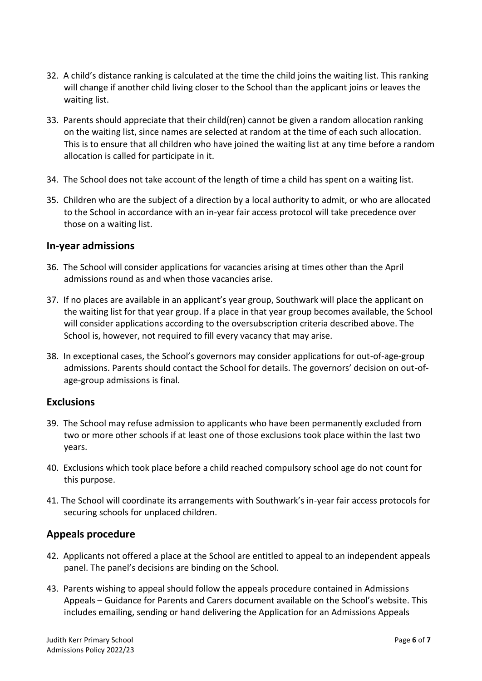- 32. A child's distance ranking is calculated at the time the child joins the waiting list. This ranking will change if another child living closer to the School than the applicant joins or leaves the waiting list.
- 33. Parents should appreciate that their child(ren) cannot be given a random allocation ranking on the waiting list, since names are selected at random at the time of each such allocation. This is to ensure that all children who have joined the waiting list at any time before a random allocation is called for participate in it.
- 34. The School does not take account of the length of time a child has spent on a waiting list.
- 35. Children who are the subject of a direction by a local authority to admit, or who are allocated to the School in accordance with an in-year fair access protocol will take precedence over those on a waiting list.

#### **In-year admissions**

- 36. The School will consider applications for vacancies arising at times other than the April admissions round as and when those vacancies arise.
- 37. If no places are available in an applicant's year group, Southwark will place the applicant on the waiting list for that year group. If a place in that year group becomes available, the School will consider applications according to the oversubscription criteria described above. The School is, however, not required to fill every vacancy that may arise.
- 38. In exceptional cases, the School's governors may consider applications for out-of-age-group admissions. Parents should contact the School for details. The governors' decision on out-ofage-group admissions is final.

#### **Exclusions**

- 39. The School may refuse admission to applicants who have been permanently excluded from two or more other schools if at least one of those exclusions took place within the last two years.
- 40. Exclusions which took place before a child reached compulsory school age do not count for this purpose.
- 41. The School will coordinate its arrangements with Southwark's in-year fair access protocols for securing schools for unplaced children.

#### **Appeals procedure**

- 42. Applicants not offered a place at the School are entitled to appeal to an independent appeals panel. The panel's decisions are binding on the School.
- 43. Parents wishing to appeal should follow the appeals procedure contained in Admissions Appeals – Guidance for Parents and Carers document available on the School's website. This includes emailing, sending or hand delivering the Application for an Admissions Appeals